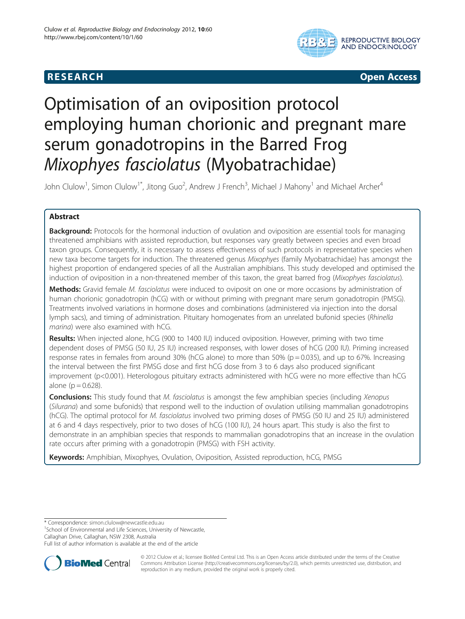# **RESEARCH CHEAR CHEAR CHEAR CHEAR CHEAR CHEAR CHEAR CHEAR CHEAR CHEAR CHEAR CHEAR CHEAR CHEAR CHEAR CHEAR CHEAR**



# Optimisation of an oviposition protocol employing human chorionic and pregnant mare serum gonadotropins in the Barred Frog Mixophyes fasciolatus (Myobatrachidae)

John Clulow<sup>1</sup>, Simon Clulow<sup>1\*</sup>, Jitong Guo<sup>2</sup>, Andrew J French<sup>3</sup>, Michael J Mahony<sup>1</sup> and Michael Archer<sup>4</sup>

# Abstract

**Background:** Protocols for the hormonal induction of ovulation and oviposition are essential tools for managing threatened amphibians with assisted reproduction, but responses vary greatly between species and even broad taxon groups. Consequently, it is necessary to assess effectiveness of such protocols in representative species when new taxa become targets for induction. The threatened genus Mixophyes (family Myobatrachidae) has amongst the highest proportion of endangered species of all the Australian amphibians. This study developed and optimised the induction of oviposition in a non-threatened member of this taxon, the great barred frog (Mixophyes fasciolatus).

Methods: Gravid female M. fasciolatus were induced to oviposit on one or more occasions by administration of human chorionic gonadotropin (hCG) with or without priming with pregnant mare serum gonadotropin (PMSG). Treatments involved variations in hormone doses and combinations (administered via injection into the dorsal lymph sacs), and timing of administration. Pituitary homogenates from an unrelated bufonid species (Rhinella marina) were also examined with hCG.

Results: When injected alone, hCG (900 to 1400 IU) induced oviposition. However, priming with two time dependent doses of PMSG (50 IU, 25 IU) increased responses, with lower doses of hCG (200 IU). Priming increased response rates in females from around 30% (hCG alone) to more than 50% ( $p = 0.035$ ), and up to 67%. Increasing the interval between the first PMSG dose and first hCG dose from 3 to 6 days also produced significant improvement (p<0.001). Heterologous pituitary extracts administered with hCG were no more effective than hCG alone ( $p = 0.628$ ).

**Conclusions:** This study found that M. fasciolatus is amongst the few amphibian species (including Xenopus (Silurana) and some bufonids) that respond well to the induction of ovulation utilising mammalian gonadotropins (hCG). The optimal protocol for M. fasciolatus involved two priming doses of PMSG (50 IU and 25 IU) administered at 6 and 4 days respectively, prior to two doses of hCG (100 IU), 24 hours apart. This study is also the first to demonstrate in an amphibian species that responds to mammalian gonadotropins that an increase in the ovulation rate occurs after priming with a gonadotropin (PMSG) with FSH activity.

Keywords: Amphibian, Mixophyes, Ovulation, Oviposition, Assisted reproduction, hCG, PMSG

\* Correspondence: [simon.clulow@newcastle.edu.au](mailto:simon.clulow@newcastle.edu.au) <sup>1</sup>

<sup>1</sup>School of Environmental and Life Sciences, University of Newcastle, Callaghan Drive, Callaghan, NSW 2308, Australia

Full list of author information is available at the end of the article



© 2012 Clulow et al.; licensee BioMed Central Ltd. This is an Open Access article distributed under the terms of the Creative Commons Attribution License [\(http://creativecommons.org/licenses/by/2.0\)](http://creativecommons.org/licenses/by/2.0), which permits unrestricted use, distribution, and reproduction in any medium, provided the original work is properly cited.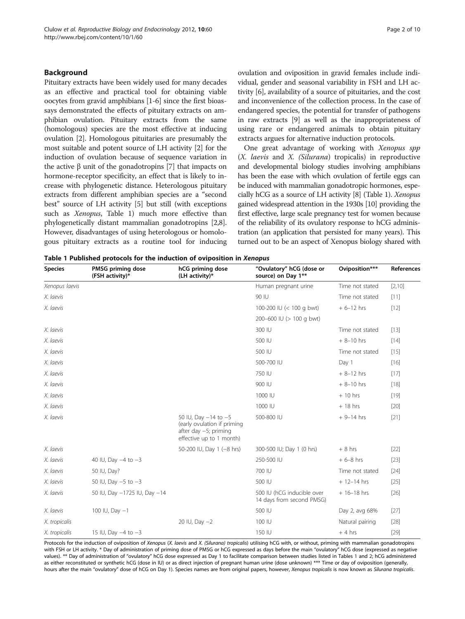# <span id="page-1-0"></span>Background

Pituitary extracts have been widely used for many decades as an effective and practical tool for obtaining viable oocytes from gravid amphibians [[1-6\]](#page-8-0) since the first bioassays demonstrated the effects of pituitary extracts on amphibian ovulation. Pituitary extracts from the same (homologous) species are the most effective at inducing ovulation [[2](#page-8-0)]. Homologous pituitaries are presumably the most suitable and potent source of LH activity [\[2](#page-8-0)] for the induction of ovulation because of sequence variation in the active β unit of the gonadotropins [\[7](#page-8-0)] that impacts on hormone-receptor specificity, an effect that is likely to increase with phylogenetic distance. Heterologous pituitary extracts from different amphibian species are a "second best" source of LH activity [\[5](#page-8-0)] but still (with exceptions such as *Xenopus*, Table 1) much more effective than phylogenetically distant mammalian gonadotropins [[2](#page-8-0),[8](#page-8-0)]. However, disadvantages of using heterologous or homologous pituitary extracts as a routine tool for inducing ovulation and oviposition in gravid females include individual, gender and seasonal variability in FSH and LH activity [\[6](#page-8-0)], availability of a source of pituitaries, and the cost and inconvenience of the collection process. In the case of endangered species, the potential for transfer of pathogens in raw extracts [[9](#page-8-0)] as well as the inappropriateness of using rare or endangered animals to obtain pituitary extracts argues for alternative induction protocols.

One great advantage of working with Xenopus spp (X. laevis and X. (Silurana) tropicalis) in reproductive and developmental biology studies involving amphibians has been the ease with which ovulation of fertile eggs can be induced with mammalian gonadotropic hormones, especially hCG as a source of LH activity [\[8\]](#page-8-0) (Table 1). Xenopus gained widespread attention in the 1930s [\[10](#page-8-0)] providing the first effective, large scale pregnancy test for women because of the reliability of its ovulatory response to hCG administration (an application that persisted for many years). This turned out to be an aspect of Xenopus biology shared with

|  |  | Table 1 Published protocols for the induction of oviposition in Xenopus |  |  |
|--|--|-------------------------------------------------------------------------|--|--|
|--|--|-------------------------------------------------------------------------|--|--|

| <b>Species</b> | PMSG priming dose<br>(FSH activity)* | hCG priming dose<br>$(LH$ activity)*                                                                            | "Ovulatory" hCG (dose or<br>source) on Day 1**          |                 | <b>References</b> |
|----------------|--------------------------------------|-----------------------------------------------------------------------------------------------------------------|---------------------------------------------------------|-----------------|-------------------|
| Xenopus laevis |                                      |                                                                                                                 | Human pregnant urine                                    | Time not stated | [2,10]            |
| X. laevis      |                                      |                                                                                                                 | 90 IU                                                   | Time not stated | [11]              |
| X. laevis      |                                      |                                                                                                                 | 100-200 IU (< 100 g bwt)                                | $+6-12$ hrs     | $[12]$            |
|                |                                      |                                                                                                                 | 200-600 IU (> 100 g bwt)                                |                 |                   |
| X. laevis      |                                      |                                                                                                                 | 300 IU                                                  | Time not stated | $[13]$            |
| X. laevis      |                                      |                                                                                                                 | 500 IU                                                  | $+8-10$ hrs     | $[14]$            |
| X. laevis      |                                      |                                                                                                                 | 500 IU                                                  | Time not stated | $[15]$            |
| X. laevis      |                                      |                                                                                                                 | 500-700 IU                                              | Day 1           | $[16]$            |
| X. laevis      |                                      |                                                                                                                 | 750 IU                                                  | $+8-12$ hrs     | $[17]$            |
| X. laevis      |                                      |                                                                                                                 | 900 IU                                                  | $+8-10$ hrs     | $[18]$            |
| X. laevis      |                                      |                                                                                                                 | 1000 IU                                                 | $+10$ hrs       | $[19]$            |
| X. laevis      |                                      |                                                                                                                 | 1000 IU                                                 | $+18$ hrs       | $[20]$            |
| X. laevis      |                                      | 50 IU, Day $-14$ to $-5$<br>(early ovulation if priming<br>after day $-5$ ; priming<br>effective up to 1 month) | 500-800 IU                                              | $+9-14$ hrs     | $[21]$            |
| X. laevis      |                                      | 50-200 IU, Day 1 (-8 hrs)                                                                                       | 300-500 IU; Day 1 (0 hrs)                               | $+8$ hrs        | $[22]$            |
| X. laevis      | 40 IU, Day $-4$ to $-3$              |                                                                                                                 | 250-500 IU                                              | $+6-8$ hrs      | $[23]$            |
| X. laevis      | 50 IU, Day?                          |                                                                                                                 | 700 IU                                                  | Time not stated | $[24]$            |
| X. laevis      | 50 IU, Day $-5$ to $-3$              |                                                                                                                 | 500 IU                                                  | $+ 12 - 14$ hrs | $[25]$            |
| X. laevis      | 50 IU, Day -1725 IU, Day -14         |                                                                                                                 | 500 IU (hCG inducible over<br>14 days from second PMSG) | $+16-18$ hrs    | $[26]$            |
| X. laevis      | 100 IU, Day -1                       |                                                                                                                 | 500 IU                                                  | Day 2, avg 68%  | $[27]$            |
| X. tropicalis  |                                      | 20 IU, Day $-2$                                                                                                 | 100 IU                                                  | Natural pairing | $[28]$            |
| X. tropicalis  | 15 IU, Day $-4$ to $-3$              |                                                                                                                 | 150 IU                                                  | $+4$ hrs        | $[29]$            |

Protocols for the induction of oviposition of Xenopus (X. laevis and X. (Silurana) tropicalis) utilising hCG with, or without, priming with mammalian gonadotropins with FSH or LH activity. \* Day of administration of priming dose of PMSG or hCG expressed as days before the main "ovulatory" hCG dose (expressed as negative values). \*\* Day of administration of "ovulatory" hCG dose expressed as Day 1 to facilitate comparison between studies listed in Tables 1 and [2;](#page-3-0) hCG administered as either reconstituted or synthetic hCG (dose in IU) or as direct injection of pregnant human urine (dose unknown) \*\*\* Time or day of oviposition (generally, hours after the main "ovulatory" dose of hCG on Day 1). Species names are from original papers, however, Xenopus tropicalis is now known as Silurana tropicalis.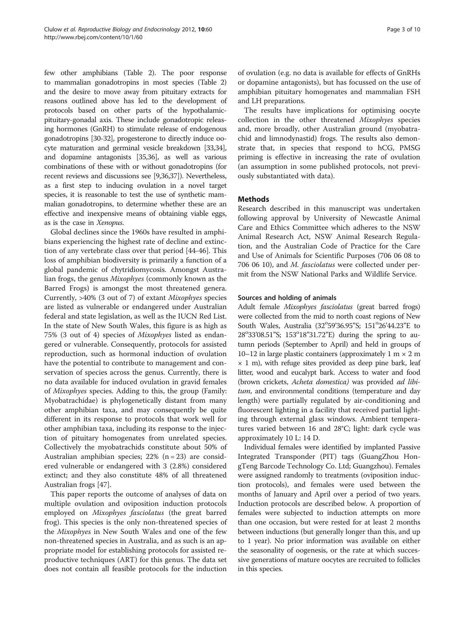few other amphibians (Table [2\)](#page-3-0). The poor response to mammalian gonadotropins in most species (Table [2](#page-3-0)) and the desire to move away from pituitary extracts for reasons outlined above has led to the development of protocols based on other parts of the hypothalamicpituitary-gonadal axis. These include gonadotropic releasing hormones (GnRH) to stimulate release of endogenous gonadotropins [[30-32\]](#page-9-0), progesterone to directly induce oocyte maturation and germinal vesicle breakdown [[33,34](#page-9-0)], and dopamine antagonists [[35,36\]](#page-9-0), as well as various combinations of these with or without gonadotropins (for recent reviews and discussions see [[9](#page-8-0)[,36,37](#page-9-0)]). Nevertheless, as a first step to inducing ovulation in a novel target species, it is reasonable to test the use of synthetic mammalian gonadotropins, to determine whether these are an effective and inexpensive means of obtaining viable eggs, as is the case in Xenopus.

Global declines since the 1960s have resulted in amphibians experiencing the highest rate of decline and extinction of any vertebrate class over that period [\[44-46](#page-9-0)]. This loss of amphibian biodiversity is primarily a function of a global pandemic of chytridiomycosis. Amongst Australian frogs, the genus Mixophyes (commonly known as the Barred Frogs) is amongst the most threatened genera. Currently, >40% (3 out of 7) of extant Mixophyes species are listed as vulnerable or endangered under Australian federal and state legislation, as well as the IUCN Red List. In the state of New South Wales, this figure is as high as 75% (3 out of 4) species of Mixophyes listed as endangered or vulnerable. Consequently, protocols for assisted reproduction, such as hormonal induction of ovulation have the potential to contribute to management and conservation of species across the genus. Currently, there is no data available for induced ovulation in gravid females of Mixophyes species. Adding to this, the group (Family: Myobatrachidae) is phylogenetically distant from many other amphibian taxa, and may consequently be quite different in its response to protocols that work well for other amphibian taxa, including its response to the injection of pituitary homogenates from unrelated species. Collectively the myobatrachids constitute about 50% of Australian amphibian species;  $22\%$  (n = 23) are considered vulnerable or endangered with 3 (2.8%) considered extinct; and they also constitute 48% of all threatened Australian frogs [[47](#page-9-0)].

This paper reports the outcome of analyses of data on multiple ovulation and oviposition induction protocols employed on Mixophyes fasciolatus (the great barred frog). This species is the only non-threatened species of the Mixophyes in New South Wales and one of the few non-threatened species in Australia, and as such is an appropriate model for establishing protocols for assisted reproductive techniques (ART) for this genus. The data set does not contain all feasible protocols for the induction

of ovulation (e.g. no data is available for effects of GnRHs or dopamine antagonists), but has focussed on the use of amphibian pituitary homogenates and mammalian FSH and LH preparations.

The results have implications for optimising oocyte collection in the other threatened Mixophyes species and, more broadly, other Australian ground (myobatrachid and limnodynastid) frogs. The results also demonstrate that, in species that respond to hCG, PMSG priming is effective in increasing the rate of ovulation (an assumption in some published protocols, not previously substantiated with data).

# **Methods**

Research described in this manuscript was undertaken following approval by University of Newcastle Animal Care and Ethics Committee which adheres to the NSW Animal Research Act, NSW Animal Research Regulation, and the Australian Code of Practice for the Care and Use of Animals for Scientific Purposes (706 06 08 to 706 06 10), and M. fasciolatus were collected under permit from the NSW National Parks and Wildlife Service.

# Sources and holding of animals

Adult female Mixophyes fasciolatus (great barred frogs) were collected from the mid to north coast regions of New South Wales, Australia (32°59'36.95"S; 151°26'44.23"E to 28°33'08.51"S; 153°18"31.72"E) during the spring to autumn periods (September to April) and held in groups of 10–12 in large plastic containers (approximately 1 m  $\times$  2 m  $\times$  1 m), with refuge sites provided as deep pine bark, leaf litter, wood and eucalypt bark. Access to water and food (brown crickets, Acheta domestica) was provided ad libitum, and environmental conditions (temperature and day length) were partially regulated by air-conditioning and fluorescent lighting in a facility that received partial lighting through external glass windows. Ambient temperatures varied between 16 and 28°C; light: dark cycle was approximately 10 L: 14 D.

Individual females were identified by implanted Passive Integrated Transponder (PIT) tags (GuangZhou HongTeng Barcode Technology Co. Ltd; Guangzhou). Females were assigned randomly to treatments (oviposition induction protocols), and females were used between the months of January and April over a period of two years. Induction protocols are described below. A proportion of females were subjected to induction attempts on more than one occasion, but were rested for at least 2 months between inductions (but generally longer than this, and up to 1 year). No prior information was available on either the seasonality of oogenesis, or the rate at which successive generations of mature oocytes are recruited to follicles in this species.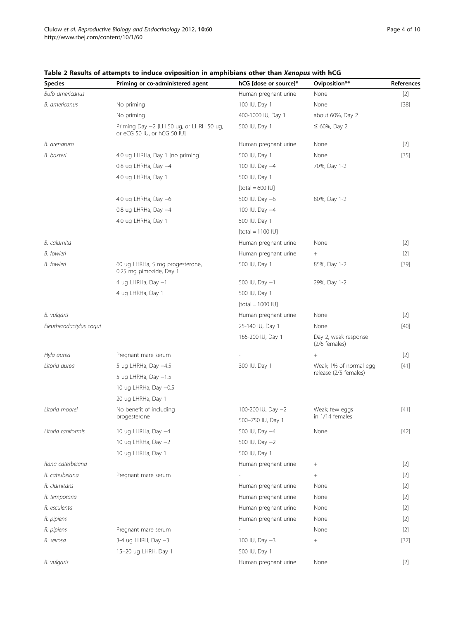|  | Page 4 of 10 |  |  |
|--|--------------|--|--|
|--|--------------|--|--|

| <b>Species</b>          | Priming or co-administered agent                                        | hCG [dose or source]*                   | Oviposition**                         | References |
|-------------------------|-------------------------------------------------------------------------|-----------------------------------------|---------------------------------------|------------|
| Bufo americanus         |                                                                         | Human pregnant urine                    | None                                  | $[2]$      |
| <b>B.</b> americanus    | No priming                                                              | 100 IU, Day 1                           | None                                  | $[38]$     |
|                         | No priming                                                              | 400-1000 IU, Day 1                      | about 60%, Day 2                      |            |
|                         | Priming Day -2 [LH 50 ug, or LHRH 50 ug,<br>or eCG 50 IU, or hCG 50 IU] | 500 IU, Day 1                           | $\leq 60\%$ , Day 2                   |            |
| B. arenarum             |                                                                         | Human pregnant urine                    | None                                  | $[2]$      |
| B. baxteri              | 4.0 ug LHRHa, Day 1 [no priming]                                        | 500 IU, Day 1                           | None                                  | $[35]$     |
|                         | 0.8 ug LHRHa, Day -4                                                    | 100 IU, Day -4                          | 70%, Day 1-2                          |            |
|                         | 4.0 ug LHRHa, Day 1                                                     | 500 IU, Day 1                           |                                       |            |
|                         |                                                                         | $[total = 600 \, IU]$                   |                                       |            |
|                         | 4.0 ug LHRHa, Day -6                                                    | 500 IU, Day -6                          | 80%, Day 1-2                          |            |
|                         | 0.8 ug LHRHa, Day -4                                                    | 100 IU, Day -4                          |                                       |            |
|                         | 4.0 ug LHRHa, Day 1                                                     | 500 IU, Day 1                           |                                       |            |
|                         |                                                                         | $[total = 1100 \, IU]$                  |                                       |            |
| B. calamita             |                                                                         | Human pregnant urine                    | None                                  | $[2]$      |
| <b>B.</b> fowleri       |                                                                         | Human pregnant urine                    | $\! + \!\!\!\!$                       | $[2]$      |
| <b>B.</b> fowleri       | 60 ug LHRHa, 5 mg progesterone,<br>0.25 mg pimozide, Day 1              | 500 IU, Day 1                           | 85%, Day 1-2                          | $[39]$     |
|                         | 4 ug LHRHa, Day -1                                                      | 500 IU, Day $-1$                        | 29%, Day 1-2                          |            |
|                         | 4 ug LHRHa, Day 1                                                       | 500 IU, Day 1                           |                                       |            |
|                         |                                                                         | $[total = 1000 \, \text{IU}]$           |                                       |            |
| B. vulgaris             |                                                                         | Human pregnant urine                    | None                                  | $[2]$      |
| Eleutherodactylus coqui |                                                                         | 25-140 IU, Day 1                        | None                                  | $[40]$     |
|                         |                                                                         | 165-200 IU, Day 1                       | Day 2, weak response<br>(2/6 females) |            |
| Hyla aurea              | Pregnant mare serum                                                     |                                         | $^{+}$                                | $[2]$      |
| Litoria aurea           | 5 ug LHRHa, Day -4.5                                                    | 300 IU, Day 1                           | Weak; 1% of normal egg                | $[41]$     |
|                         | 5 ug LHRHa, Day -1.5                                                    |                                         | release (2/5 females)                 |            |
|                         | 10 ug LHRHa, Day -0.5                                                   |                                         |                                       |            |
|                         | 20 ug LHRHa, Day 1                                                      |                                         |                                       |            |
| Litoria moorei          | No benefit of including<br>progesterone                                 | 100-200 IU, Day -2<br>500-750 IU, Day 1 | Weak; few eggs<br>in 1/14 females     | $[41]$     |
| Litoria raniformis      | 10 ug LHRHa, Day -4                                                     | 500 IU, Day -4                          | None                                  | $[42]$     |
|                         | 10 ug LHRHa, Day -2                                                     | 500 IU, Day -2                          |                                       |            |
|                         | 10 ug LHRHa, Day 1                                                      | 500 IU, Day 1                           |                                       |            |
| Rana catesbeiana        |                                                                         | Human pregnant urine                    | $^{+}$                                | $[2]$      |
| R. catesbeiana          | Pregnant mare serum                                                     |                                         | $^{+}$                                | $[2]$      |
| R. clamitans            |                                                                         | Human pregnant urine                    | None                                  | $[2]$      |
| R. temporaria           |                                                                         | Human pregnant urine                    | None                                  | $[2]$      |
| R. esculenta            |                                                                         | Human pregnant urine                    | None                                  | $[2]$      |
| R. pipiens              |                                                                         | Human pregnant urine                    | None                                  | $[2]$      |
| R. pipiens              | Pregnant mare serum                                                     |                                         | None                                  | $[2]$      |
| R. sevosa               | 3-4 ug LHRH, Day -3                                                     | 100 IU, Day -3                          | $\! + \!\!\!\!$                       | [37]       |
|                         | 15-20 ug LHRH, Day 1                                                    | 500 IU, Day 1                           |                                       |            |
| R. vulgaris             |                                                                         | Human pregnant urine                    | None                                  | $[2]$      |
|                         |                                                                         |                                         |                                       |            |

# <span id="page-3-0"></span>Table 2 Results of attempts to induce oviposition in amphibians other than Xenopus with hCG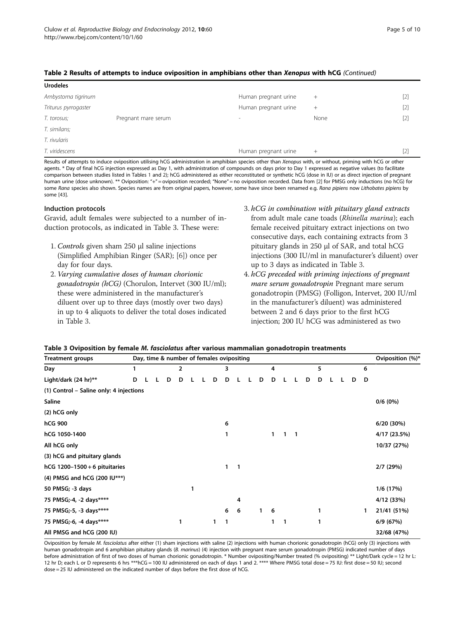#### <span id="page-4-0"></span>Table 2 Results of attempts to induce oviposition in amphibians other than Xenopus with hCG (Continued)

| <b>Urodeles</b>      |                                                   |                                                     |          |          |
|----------------------|---------------------------------------------------|-----------------------------------------------------|----------|----------|
| Ambystoma tigrinum   |                                                   | Human pregnant urine                                | $^{+}$   | $[2]$    |
| Triturus pyrrogaster |                                                   | Human pregnant urine                                | $^{+}$   | $[2]$    |
| T. torosus;          | Pregnant mare serum                               |                                                     | None     | $[2]$    |
| T. similans;         |                                                   |                                                     |          |          |
| T. rivularis         |                                                   |                                                     |          |          |
| T. viridescens       |                                                   | Human pregnant urine                                | $^{+}$   | $[2]$    |
| .                    | $\cdots$<br>$\sim$ $\sim$ $\sim$<br>$\cdots$<br>. | $\cdots$ . The contract of the contract of $\cdots$ | $\cdots$ | $\cdots$ |

Results of attempts to induce oviposition utilising hCG administration in amphibian species other than Xenopus with, or without, priming with hCG or other agents. \* Day of final hCG injection expressed as Day 1, with administration of compounds on days prior to Day 1 expressed as negative values (to facilitate comparison between studies listed in Tables [1](#page-1-0) and [2](#page-3-0)); hCG administered as either reconstituted or synthetic hCG (dose in IU) or as direct injection of pregnant human urine (dose unknown). \*\* Oviposition: "+" = oviposition recorded; "None" = no oviposition recorded. Data from [\[2](#page-8-0)] for PMSG only inductions (no hCG) for some Rana species also shown. Species names are from original papers, however, some have since been renamed e.g. Rana pipiens now Lithobates pipiens by some [[43\]](#page-9-0).

#### Induction protocols

Gravid, adult females were subjected to a number of induction protocols, as indicated in Table 3. These were:

- 1. Controls given sham 250 μl saline injections (Simplified Amphibian Ringer (SAR); [\[6\]](#page-8-0)) once per day for four days.
- 2. Varying cumulative doses of human chorionic gonadotropin (hCG) (Chorulon, Intervet (300 IU/ml); these were administered in the manufacturer's diluent over up to three days (mostly over two days) in up to 4 aliquots to deliver the total doses indicated in Table 3.
- 3. hCG in combination with pituitary gland extracts from adult male cane toads (Rhinella marina); each female received pituitary extract injections on two consecutive days, each containing extracts from 3 pituitary glands in 250 μl of SAR, and total hCG injections (300 IU/ml in manufacturer's diluent) over up to 3 days as indicated in Table 3.
- 4. hCG preceded with priming injections of pregnant mare serum gonadotropin Pregnant mare serum gonadotropin (PMSG) (Folligon, Intervet, 200 IU/ml in the manufacturer's diluent) was administered between 2 and 6 days prior to the first hCG injection; 200 IU hCG was administered as two

|  |  | Table 3 Oviposition by female M. fasciolatus after various mammalian gonadotropin treatments |
|--|--|----------------------------------------------------------------------------------------------|
|  |  |                                                                                              |

| <b>Treatment groups</b>                 |   | Day, time & number of females ovipositing |   |   |   |   |   |    |   |   |    |                          |   |   |  |   |   | Oviposition (%)* |
|-----------------------------------------|---|-------------------------------------------|---|---|---|---|---|----|---|---|----|--------------------------|---|---|--|---|---|------------------|
| Day                                     | 1 |                                           |   | 2 |   |   | 3 |    |   | 4 |    |                          |   | 5 |  |   | 6 |                  |
| Light/dark (24 hr)**                    | D |                                           | D | D |   | D | n |    |   | D |    |                          | D | D |  | D | D |                  |
| (1) Control - Saline only: 4 injections |   |                                           |   |   |   |   |   |    |   |   |    |                          |   |   |  |   |   |                  |
| Saline                                  |   |                                           |   |   |   |   |   |    |   |   |    |                          |   |   |  |   |   | $0/6(0\%)$       |
| (2) hCG only                            |   |                                           |   |   |   |   |   |    |   |   |    |                          |   |   |  |   |   |                  |
| <b>hCG 900</b>                          |   |                                           |   |   |   |   | 6 |    |   |   |    |                          |   |   |  |   |   | 6/20(30%)        |
| hCG 1050-1400                           |   |                                           |   |   |   |   |   |    |   | 1 | 1. | $\overline{\phantom{0}}$ |   |   |  |   |   | 4/17 (23.5%)     |
| All hCG only                            |   |                                           |   |   |   |   |   |    |   |   |    |                          |   |   |  |   |   | 10/37 (27%)      |
| (3) hCG and pituitary glands            |   |                                           |   |   |   |   |   |    |   |   |    |                          |   |   |  |   |   |                  |
| $hCG 1200-1500+6$ pituitaries           |   |                                           |   |   |   |   | 1 | -1 |   |   |    |                          |   |   |  |   |   | 2/7 (29%)        |
| (4) PMSG and hCG (200 IU***)            |   |                                           |   |   |   |   |   |    |   |   |    |                          |   |   |  |   |   |                  |
| 50 PMSG; -3 days                        |   |                                           |   |   | 1 |   |   |    |   |   |    |                          |   |   |  |   |   | 1/6 (17%)        |
| 75 PMSG;-4, -2 days****                 |   |                                           |   |   |   |   |   | 4  |   |   |    |                          |   |   |  |   |   | 4/12 (33%)       |
| 75 PMSG;-5, -3 days****                 |   |                                           |   |   |   |   | 6 | 6  | 1 | 6 |    |                          |   | 1 |  |   | 1 | 21/41 (51%)      |
| 75 PMSG;-6, -4 days****                 |   |                                           |   | 1 |   |   | 1 |    |   | 1 |    |                          |   | 1 |  |   |   | 6/9 (67%)        |
| All PMSG and hCG (200 IU)               |   |                                           |   |   |   |   |   |    |   |   |    |                          |   |   |  |   |   | 32/68 (47%)      |

Oviposition by female M. fasciolatus after either (1) sham injections with saline (2) injections with human chorionic gonadotropin (hCG) only (3) injections with human gonadotropin and 6 amphibian pituitary glands (B. marinus) (4) injection with pregnant mare serum gonadotropin (PMSG) indicated number of days before administration of first of two doses of human chorionic gonadotropin. \* Number ovipositing/Number treated (% ovipositing) \*\* Light/Dark cycle = 12 hr L: 12 hr D; each L or D represents 6 hrs \*\*\*hCG = 100 IU administered on each of days 1 and 2. \*\*\*\* Where PMSG total dose = 75 IU: first dose = 50 IU; second dose = 25 IU administered on the indicated number of days before the first dose of hCG.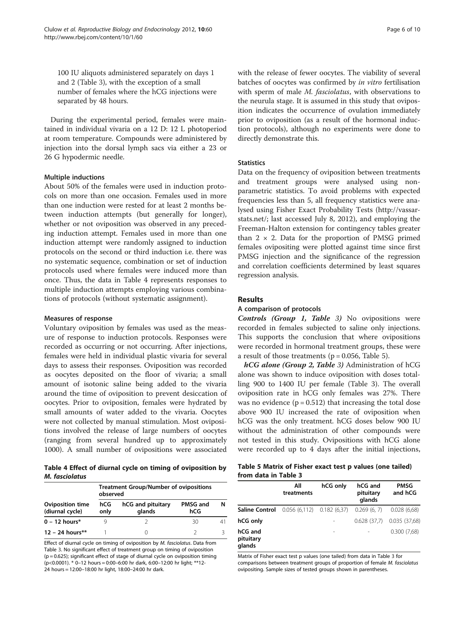<span id="page-5-0"></span>100 IU aliquots administered separately on days 1 and 2 (Table [3\)](#page-4-0), with the exception of a small number of females where the hCG injections were separated by 48 hours.

During the experimental period, females were maintained in individual vivaria on a 12 D: 12 L photoperiod at room temperature. Compounds were administered by injection into the dorsal lymph sacs via either a 23 or 26 G hypodermic needle.

#### Multiple inductions

About 50% of the females were used in induction protocols on more than one occasion. Females used in more than one induction were rested for at least 2 months between induction attempts (but generally for longer), whether or not oviposition was observed in any preceding induction attempt. Females used in more than one induction attempt were randomly assigned to induction protocols on the second or third induction i.e. there was no systematic sequence, combination or set of induction protocols used where females were induced more than once. Thus, the data in Table 4 represents responses to multiple induction attempts employing various combinations of protocols (without systematic assignment).

#### Measures of response

Voluntary oviposition by females was used as the measure of response to induction protocols. Responses were recorded as occurring or not occurring. After injections, females were held in individual plastic vivaria for several days to assess their responses. Oviposition was recorded as oocytes deposited on the floor of vivaria; a small amount of isotonic saline being added to the vivaria around the time of oviposition to prevent desiccation of oocytes. Prior to oviposition, females were hydrated by small amounts of water added to the vivaria. Oocytes were not collected by manual stimulation. Most ovipositions involved the release of large numbers of oocytes (ranging from several hundred up to approximately 1000). A small number of ovipositions were associated

Table 4 Effect of diurnal cycle on timing of oviposition by M. fasciolatus

|                                            |             | <b>Treatment Group/Number of ovipositions</b><br>observed |                 |    |  |  |  |  |  |  |  |  |  |
|--------------------------------------------|-------------|-----------------------------------------------------------|-----------------|----|--|--|--|--|--|--|--|--|--|
| <b>Oviposition time</b><br>(diurnal cycle) | hCG<br>only | hCG and pituitary<br>glands                               | PMSG and<br>hCG | N  |  |  |  |  |  |  |  |  |  |
| $0 - 12$ hours*                            |             |                                                           | 30              | 41 |  |  |  |  |  |  |  |  |  |
| $12 - 24$ hours**                          |             |                                                           |                 |    |  |  |  |  |  |  |  |  |  |

Effect of diurnal cycle on timing of oviposition by M. fasciolatus. Data from Table [3](#page-4-0). No significant effect of treatment group on timing of oviposition (p = 0.625); significant effect of stage of diurnal cycle on oviposition timing (p<0.0001). \* 0–12 hours = 0:00–6:00 hr dark, 6:00–12:00 hr light; \*\*12- 24 hours = 12:00–18:00 hr light, 18:00–24:00 hr dark.

with the release of fewer oocytes. The viability of several batches of oocytes was confirmed by in vitro fertilisation with sperm of male M. fasciolatus, with observations to the neurula stage. It is assumed in this study that oviposition indicates the occurrence of ovulation immediately prior to oviposition (as a result of the hormonal induction protocols), although no experiments were done to directly demonstrate this.

#### **Statistics**

Data on the frequency of oviposition between treatments and treatment groups were analysed using nonparametric statistics. To avoid problems with expected frequencies less than 5, all frequency statistics were analysed using Fisher Exact Probability Tests [\(http://vassar](http://vassarstats.net/)[stats.net/;](http://vassarstats.net/) last accessed July 8, 2012), and employing the Freeman-Halton extension for contingency tables greater than  $2 \times 2$ . Data for the proportion of PMSG primed females ovipositing were plotted against time since first PMSG injection and the significance of the regression and correlation coefficients determined by least squares regression analysis.

# Results

#### A comparison of protocols

Controls (Group 1, Table [3](#page-4-0)) No ovipositions were recorded in females subjected to saline only injections. This supports the conclusion that where ovipositions were recorded in hormonal treatment groups, these were a result of those treatments ( $p = 0.056$ , Table 5).

hCG alone (Group 2, Table [3](#page-4-0)) Administration of hCG alone was shown to induce oviposition with doses totalling 900 to 1400 IU per female (Table [3\)](#page-4-0). The overall oviposition rate in hCG only females was 27%. There was no evidence  $(p = 0.512)$  that increasing the total dose above 900 IU increased the rate of oviposition when hCG was the only treatment. hCG doses below 900 IU without the administration of other compounds were not tested in this study. Ovipositions with hCG alone were recorded up to 4 days after the initial injections,

|                      | Table 5 Matrix of Fisher exact test p values (one tailed) |
|----------------------|-----------------------------------------------------------|
| from data in Table 3 |                                                           |

|                                | All<br>treatments           | hCG only | hCG and<br>pituitary<br>glands | PMSG<br>and hCG              |
|--------------------------------|-----------------------------|----------|--------------------------------|------------------------------|
| <b>Saline Control</b>          | $0.056(6.112)$ 0.182 (6.37) |          | 0.269(6, 7)                    | 0.028(6.68)                  |
| hCG only                       |                             |          |                                | $0.628(37,7)$ $0.035(37,68)$ |
| hCG and<br>pituitary<br>glands |                             | -        |                                | 0.300(7.68)                  |

Matrix of Fisher exact test p values (one tailed) from data in Table [3](#page-4-0) for comparisons between treatment groups of proportion of female M. fasciolatus ovipositing. Sample sizes of tested groups shown in parentheses.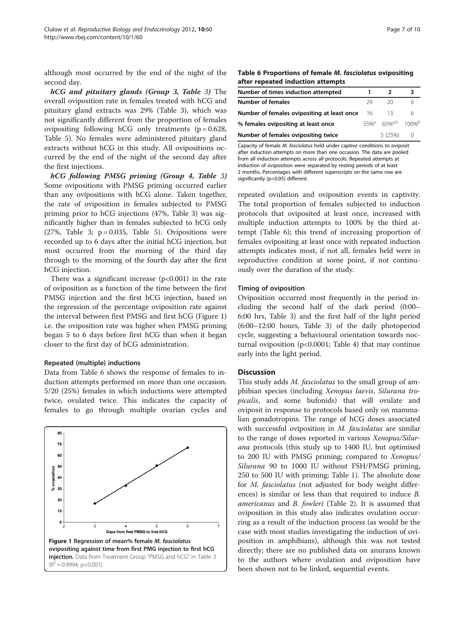although most occurred by the end of the night of the second day.

hCG and pituitary glands (Group 3, Table [3](#page-4-0)) The overall oviposition rate in females treated with hCG and pituitary gland extracts was 29% (Table [3](#page-4-0)), which was not significantly different from the proportion of females ovipositing following  $hCG$  only treatments ( $p = 0.628$ , Table [5\)](#page-5-0). No females were administered pituitary gland extracts without hCG in this study. All ovipositions occurred by the end of the night of the second day after the first injections.

hCG following PMSG priming (Group 4, Table [3](#page-4-0)) Some ovipositions with PMSG priming occurred earlier than any ovipositions with hCG alone. Taken together, the rate of oviposition in females subjected to PMSG priming prior to hCG injections (47%, Table [3](#page-4-0)) was significantly higher than in females subjected to hCG only (27%, Table [3](#page-4-0);  $p = 0.035$ , Table [5](#page-5-0)). Ovipositions were recorded up to 6 days after the initial hCG injection, but most occurred from the morning of the third day through to the morning of the fourth day after the first hCG injection.

There was a significant increase  $(p<0.001)$  in the rate of oviposition as a function of the time between the first PMSG injection and the first hCG injection, based on the regression of the percentage oviposition rate against the interval between first PMSG and first hCG (Figure 1) i.e. the oviposition rate was higher when PMSG priming began 5 to 6 days before first hCG than when it began closer to the first day of hCG administration.

### Repeated (multiple) inductions

Data from Table 6 shows the response of females to induction attempts performed on more than one occasion. 5/20 (25%) females in which inductions were attempted twice, ovulated twice. This indicates the capacity of females to go through multiple ovarian cycles and



#### Table 6 Proportions of female M. fasciolatus ovipositing after repeated induction attempts

| Number of times induction attempted         |     |                                                       |     |
|---------------------------------------------|-----|-------------------------------------------------------|-----|
| Number of females                           | 29. | -20                                                   |     |
| Number of females ovipositing at least once | 16  | -13                                                   | h   |
| % females ovipositing at least once         |     | 55% <sup>a</sup> 65% <sup>a,b</sup> 100% <sup>b</sup> |     |
| Number of females ovipositing twice         |     | 5 (25%)                                               | - 0 |
|                                             |     |                                                       |     |

Capacity of female M. fasciolatus held under captive conditions to oviposit after induction attempts on more than one occasion. The data are pooled from all induction attempts across all protocols. Repeated attempts at induction of oviposition were separated by resting periods of at least 2 months. Percentages with different superscripts on the same row are significantly (p<0.05) different.

repeated ovulation and oviposition events in captivity. The total proportion of females subjected to induction protocols that oviposited at least once, increased with multiple induction attempts to 100% by the third attempt (Table 6); this trend of increasing proportion of females ovipositing at least once with repeated induction attempts indicates most, if not all, females held were in reproductive condition at some point, if not continuously over the duration of the study.

#### Timing of oviposition

Oviposition occurred most frequently in the period including the second half of the dark period (0:00– 6:00 hrs, Table [3](#page-4-0)) and the first half of the light period (6:00–12:00 hours, Table [3\)](#page-4-0) of the daily photoperiod cycle, suggesting a behavioural orientation towards nocturnal oviposition (p<0.0001; Table [4\)](#page-5-0) that may continue early into the light period.

# **Discussion**

This study adds M. fasciolatus to the small group of amphibian species (including Xenopus laevis, Silurana tropicalis, and some bufonids) that will ovulate and oviposit in response to protocols based only on mammalian gonadotropins. The range of hCG doses associated with successful oviposition in M. fasciolatus are similar to the range of doses reported in various Xenopus/Silurana protocols (this study up to 1400 IU, but optimised to 200 IU with PMSG priming; compared to Xenopus/ Silurana 90 to 1000 IU without FSH/PMSG priming, 250 to 500 IU with priming; Table [1\)](#page-1-0). The absolute dose for M. fasciolatus (not adjusted for body weight differences) is similar or less than that required to induce B. americanus and B. fowleri (Table [2\)](#page-3-0). It is assumed that oviposition in this study also indicates ovulation occurring as a result of the induction process (as would be the case with most studies investigating the induction of oviposition in amphibians), although this was not tested directly; there are no published data on anurans known to the authors where ovulation and oviposition have been shown not to be linked, sequential events.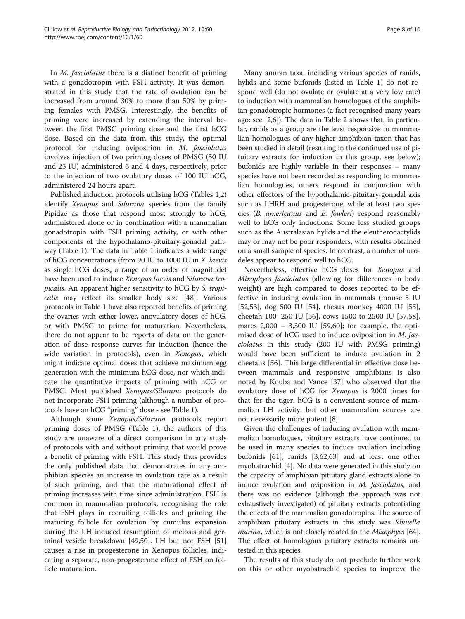In M. fasciolatus there is a distinct benefit of priming with a gonadotropin with FSH activity. It was demonstrated in this study that the rate of ovulation can be increased from around 30% to more than 50% by priming females with PMSG. Interestingly, the benefits of priming were increased by extending the interval between the first PMSG priming dose and the first hCG dose. Based on the data from this study, the optimal protocol for inducing oviposition in M. fasciolatus involves injection of two priming doses of PMSG (50 IU and 25 IU) administered 6 and 4 days, respectively, prior to the injection of two ovulatory doses of 100 IU hCG, administered 24 hours apart.

Published induction protocols utilising hCG (Tables [1,](#page-1-0)[2](#page-3-0)) identify Xenopus and Silurana species from the family Pipidae as those that respond most strongly to hCG, administered alone or in combination with a mammalian gonadotropin with FSH priming activity, or with other components of the hypothalamo-pituitary-gonadal pathway (Table [1](#page-1-0)). The data in Table [1](#page-1-0) indicates a wide range of hCG concentrations (from 90 IU to 1000 IU in X. laevis as single hCG doses, a range of an order of magnitude) have been used to induce Xenopus laevis and Silurana tropicalis. An apparent higher sensitivity to hCG by S. tropicalis may reflect its smaller body size [[48](#page-9-0)]. Various protocols in Table [1](#page-1-0) have also reported benefits of priming the ovaries with either lower, anovulatory doses of hCG, or with PMSG to prime for maturation. Nevertheless, there do not appear to be reports of data on the generation of dose response curves for induction (hence the wide variation in protocols), even in Xenopus, which might indicate optimal doses that achieve maximum egg generation with the minimum hCG dose, nor which indicate the quantitative impacts of priming with hCG or PMSG. Most published Xenopus/Silurana protocols do not incorporate FSH priming (although a number of protocols have an hCG "priming" dose - see Table [1](#page-1-0)).

Although some Xenopus/Silurana protocols report priming doses of PMSG (Table [1\)](#page-1-0), the authors of this study are unaware of a direct comparison in any study of protocols with and without priming that would prove a benefit of priming with FSH. This study thus provides the only published data that demonstrates in any amphibian species an increase in ovulation rate as a result of such priming, and that the maturational effect of priming increases with time since administration. FSH is common in mammalian protocols, recognising the role that FSH plays in recruiting follicles and priming the maturing follicle for ovulation by cumulus expansion during the LH induced resumption of meiosis and germinal vesicle breakdown [[49](#page-9-0),[50](#page-9-0)]. LH but not FSH [[51](#page-9-0)] causes a rise in progesterone in Xenopus follicles, indicating a separate, non-progesterone effect of FSH on follicle maturation.

Many anuran taxa, including various species of ranids, hylids and some bufonids (listed in Table [1](#page-1-0)) do not respond well (do not ovulate or ovulate at a very low rate) to induction with mammalian homologues of the amphibian gonadotropic hormones (a fact recognised many years ago: see [\[2,6](#page-8-0)]). The data in Table [2](#page-3-0) shows that, in particular, ranids as a group are the least responsive to mammalian homologues of any higher amphibian taxon that has been studied in detail (resulting in the continued use of pituitary extracts for induction in this group, see below); bufonids are highly variable in their responses – many species have not been recorded as responding to mammalian homologues, others respond in conjunction with other effectors of the hypothalamic-pituitary-gonadal axis such as LHRH and progesterone, while at least two species (B. americanus and B. fowleri) respond reasonably well to hCG only inductions. Some less studied groups such as the Australasian hylids and the eleutherodactylids may or may not be poor responders, with results obtained on a small sample of species. In contrast, a number of urodeles appear to respond well to hCG.

Nevertheless, effective hCG doses for Xenopus and Mixophyes fasciolatus (allowing for differences in body weight) are high compared to doses reported to be effective in inducing ovulation in mammals (mouse 5 IU [[52,53\]](#page-9-0), dog 500 IU [\[54](#page-9-0)], rhesus monkey 4000 IU [\[55](#page-9-0)], cheetah 100–250 IU [\[56\]](#page-9-0), cows 1500 to 2500 IU [\[57,58](#page-9-0)], mares 2,000 – 3,300 IU [[59,60\]](#page-9-0); for example, the optimised dose of hCG used to induce oviposition in M. fasciolatus in this study (200 IU with PMSG priming) would have been sufficient to induce ovulation in 2 cheetahs [\[56](#page-9-0)]. This large differential in effective dose between mammals and responsive amphibians is also noted by Kouba and Vance [[37\]](#page-9-0) who observed that the ovulatory dose of hCG for Xenopus is 2000 times for that for the tiger. hCG is a convenient source of mammalian LH activity, but other mammalian sources are not necessarily more potent [\[8\]](#page-8-0).

Given the challenges of inducing ovulation with mammalian homologues, pituitary extracts have continued to be used in many species to induce ovulation including bufonids [[61](#page-9-0)], ranids [[3](#page-8-0),[62](#page-9-0),[63](#page-9-0)] and at least one other myobatrachid [[4\]](#page-8-0). No data were generated in this study on the capacity of amphibian pituitary gland extracts alone to induce ovulation and oviposition in M. fasciolatus, and there was no evidence (although the approach was not exhaustively investigated) of pituitary extracts potentiating the effects of the mammalian gonadotropins. The source of amphibian pituitary extracts in this study was Rhinella marina, which is not closely related to the Mixophyes [\[64](#page-9-0)]. The effect of homologous pituitary extracts remains untested in this species.

The results of this study do not preclude further work on this or other myobatrachid species to improve the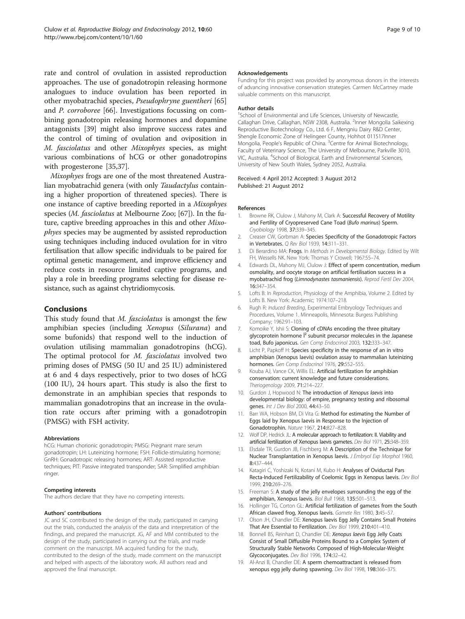<span id="page-8-0"></span>rate and control of ovulation in assisted reproduction approaches. The use of gonadotropin releasing hormone analogues to induce ovulation has been reported in other myobatrachid species, Pseudophryne guentheri [[65](#page-9-0)] and P. corroboree [\[66](#page-9-0)]. Investigations focussing on combining gonadotropin releasing hormones and dopamine antagonists [[39\]](#page-9-0) might also improve success rates and the control of timing of ovulation and oviposition in M. fasciolatus and other Mixophyes species, as might various combinations of hCG or other gonadotropins with progesterone [[35](#page-9-0),[37](#page-9-0)].

Mixophyes frogs are one of the most threatened Australian myobatrachid genera (with only *Taudactylus* containing a higher proportion of threatened species). There is one instance of captive breeding reported in a Mixophyes species (M. fasciolatus at Melbourne Zoo; [\[67\]](#page-9-0)). In the future, captive breeding approaches in this and other Mixophyes species may be augmented by assisted reproduction using techniques including induced ovulation for in vitro fertilisation that allow specific individuals to be paired for optimal genetic management, and improve efficiency and reduce costs in resource limited captive programs, and play a role in breeding programs selecting for disease resistance, such as against chytridiomycosis.

# Conclusions

This study found that *M. fasciolatus* is amongst the few amphibian species (including Xenopus (Silurana) and some bufonids) that respond well to the induction of ovulation utilising mammalian gonadotropins (hCG). The optimal protocol for M. fasciolatus involved two priming doses of PMSG (50 IU and 25 IU) administered at 6 and 4 days respectively, prior to two doses of hCG (100 IU), 24 hours apart. This study is also the first to demonstrate in an amphibian species that responds to mammalian gonadotropins that an increase in the ovulation rate occurs after priming with a gonadotropin (PMSG) with FSH activity.

#### Abbreviations

hCG: Human chorionic gonadotropin; PMSG: Pregnant mare serum gonadotropin; LH: Luteinizing hormone; FSH: Follicle-stimulating hormone; GnRH: Gonadotropic releasing hormones; ART: Assisted reproductive techniques; PIT: Passive integrated transponder; SAR: Simplified amphibian ringer.

#### Competing interests

The authors declare that they have no competing interests.

#### Authors' contributions

JC and SC contributed to the design of the study, participated in carrying out the trials, conducted the analysis of the data and interpretation of the findings, and prepared the manuscript. JG, AF and MM contributed to the design of the study, participated in carrying out the trials, and made comment on the manuscript. MA acquired funding for the study, contributed to the design of the study, made comment on the manuscript and helped with aspects of the laboratory work. All authors read and approved the final manuscript.

#### Acknowledgements

Funding for this project was provided by anonymous donors in the interests of advancing innovative conservation strategies. Carmen McCartney made valuable comments on this manuscript.

#### Author details

<sup>1</sup>School of Environmental and Life Sciences, University of Newcastle, Callaghan Drive, Callaghan, NSW 2308, Australia. <sup>2</sup>Inner Mongolia Saikexing Reproductive Biotechnology Co., Ltd. 6 F, Mengniu Dairy R&D Center, Shengle Economic Zone of Helingeer County, Hohhot 011517Inner Mongolia, People's Republic of China. <sup>3</sup> Centre for Animal Biotechnology, Faculty of Veterinary Science, The University of Melbourne, Parkville 3010, VIC, Australia. <sup>4</sup>School of Biological, Earth and Environmental Sciences University of New South Wales, Sydney 2052, Australia.

#### Received: 4 April 2012 Accepted: 3 August 2012 Published: 21 August 2012

#### References

- 1. Browne RK, Clulow J, Mahony M, Clark A: Successful Recovery of Motility and Fertility of Cryopreserved Cane Toad (Bufo marinus) Sperm. Cryobiology 1998, 37:339–345.
- 2. Creaser CW, Gorbman A: Species Specificity of the Gonadotropic Factors in Vertebrates. Q Rev Biol 1939, 14:311–331.
- Di Berardino MA: Frogs. In Methods in Developmental Biology. Edited by Wilt FH, Wessells NK. New York: Thomas Y Crowell; 1967:55–74.
- 4. Edwards DL, Mahony MJ, Clulow J: Effect of sperm concentration, medium osmolality, and oocyte storage on artificial fertilisation success in a myobatrachid frog (Limnodynastes tasmaniensis). Reprod Fertil Dev 2004, 16:347–354.
- 5. Lofts B: In Reproduction, Physiology of the Amphibia, Volume 2. Edited by Lofts B. New York: Academic; 1974:107–218.
- 6. Rugh R: Induced Breeding, Experimental Embryology Techniques and Procedures, Volume 1. Minneapolis, Minnesota: Burgess Publishing Company; 1962:91–103.
- 7. Komoike Y, Ishii S: Cloning of cDNAs encoding the three pituitary glycoprotein hormone <sup>[2</sup> subunit precursor molecules in the Japanese toad, Bufo japonicus. Gen Comp Endocrinol 2003, 132:333-347
- 8. Licht P, Papkoff H: Species specificity in the response of an in vitro amphibian (Xenopus laevis) ovulation assay to mammalian luteinizing hormones. Gen Comp Endocrinol 1976, 29:552-555.
- 9. Kouba AJ, Vance CK, Willis EL: Artificial fertilization for amphibian conservation: current knowledge and future considerations. Theriogenology 2009, 71:214–227.
- 10. Gurdon J, Hopwood N: The introduction of Xenopus laevis into developmental biology: of empire, pregnancy testing and ribosomal genes. Int J Dev Biol 2000, 44:43–50.
- 11. Barr WA, Hobson BM, Di Vita G: Method for estimating the Number of Eggs laid by Xenopus laevis in Response to the Injection of Gonadotrophin. Nature 1967, 214:827–828.
- 12. Wolf DP, Hedrick JL: A molecular approach to fertilization: II. Viability and artificial fertilization of Xenopus laevis gametes. Dev Biol 1971, 25:348–359.
- 13. Elsdale TR, Gurdon JB, Fischberg M: A Description of the Technique for Nuclear Transplantation in Xenopus laevis. J Embryol Exp Morphol 1960, 8:437–444.
- 14. Katagiri C, Yoshizaki N, Kotani M, Kubo H: Analyses of Oviductal Pars Recta-Induced Fertilizability of Coelomic Eggs in Xenopus laevis. Dev Biol 1999, 210:269–276.
- 15. Freeman S: A study of the jelly envelopes surrounding the egg of the amphibian, Xenopus laevis. Biol Bull 1968, 135:501–513.
- 16. Hollinger TG, Corton GL: Artificial fertilization of gametes from the South African clawed frog, Xenopus laevis. Gamete Res 1980, 3:45–57.
- 17. Olson JH, Chandler DE: Xenopus laevis Egg Jelly Contains Small Proteins That Are Essential to Fertilization. Dev Biol 1999, 210:401–410.
- 18. Bonnell BS, Reinhart D, Chandler DE: Xenopus laevis Egg Jelly Coats Consist of Small Diffusible Proteins Bound to a Complex System of Structurally Stable Networks Composed of High-Molecular-Weight Glycoconjugates. Dev Biol 1996, 174:32–42.
- 19. Al-Anzi B, Chandler DE: A sperm chemoattractant is released from xenopus egg jelly during spawning. Dev Biol 1998, 198:366–375.